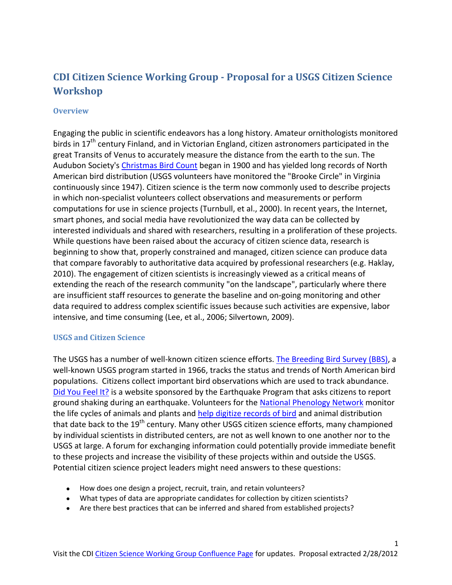# **CDI Citizen Science Working Group - Proposal for a USGS Citizen Science Workshop**

### **Overview**

Engaging the public in scientific endeavors has a long history. Amateur ornithologists monitored birds in 17<sup>th</sup> century Finland, and in Victorian England, citizen astronomers participated in the great Transits of Venus to accurately measure the distance from the earth to the sun. The Audubon Society's [Christmas Bird Count](http://birds.audubon.org/christmas-bird-count) began in 1900 and has yielded long records of North American bird distribution (USGS volunteers have monitored the "Brooke Circle" in Virginia continuously since 1947). Citizen science is the term now commonly used to describe projects in which non-specialist volunteers collect observations and measurements or perform computations for use in science projects (Turnbull, et al., 2000). In recent years, the Internet, smart phones, and social media have revolutionized the way data can be collected by interested individuals and shared with researchers, resulting in a proliferation of these projects. While questions have been raised about the accuracy of citizen science data, research is beginning to show that, properly constrained and managed, citizen science can produce data that compare favorably to authoritative data acquired by professional researchers (e.g. Haklay, 2010). The engagement of citizen scientists is increasingly viewed as a critical means of extending the reach of the research community "on the landscape", particularly where there are insufficient staff resources to generate the baseline and on-going monitoring and other data required to address complex scientific issues because such activities are expensive, labor intensive, and time consuming (Lee, et al., 2006; Silvertown, 2009).

# **USGS and Citizen Science**

The USGS has a number of well-known citizen science efforts. [The Breeding Bird Survey \(BBS\),](http://www.pwrc.usgs.gov/bbs/about/) a well-known USGS program started in 1966, tracks the status and trends of North American bird populations. Citizens collect important bird observations which are used to track abundance. [Did You](http://earthquake.usgs.gov/earthquakes/dyfi/) Feel It? is a website sponsored by the Earthquake Program that asks citizens to report ground shaking during an earthquake. Volunteers for the [National Phenology Network](http://www.usanpn.org/) monitor the life cycles of animals and plants and [help digitize records of bird](http://www.pwrc.usgs.gov/bpp) and animal distribution that date back to the 19<sup>th</sup> century. Many other USGS citizen science efforts, many championed by individual scientists in distributed centers, are not as well known to one another nor to the USGS at large. A forum for exchanging information could potentially provide immediate benefit to these projects and increase the visibility of these projects within and outside the USGS. Potential citizen science project leaders might need answers to these questions:

- How does one design a project, recruit, train, and retain volunteers?
- What types of data are appropriate candidates for collection by citizen scientists?
- Are there best practices that can be inferred and shared from established projects?

1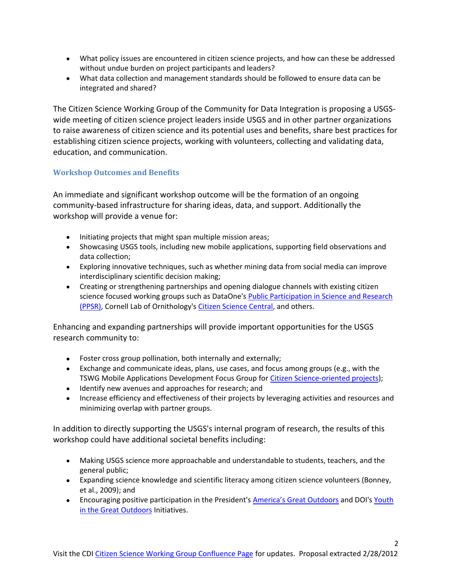- What policy issues are encountered in citizen science projects, and how can these be addressed without undue burden on project participants and leaders?
- What data collection and management standards should be followed to ensure data can be integrated and shared?

The Citizen Science Working Group of the Community for Data Integration is proposing a USGSwide meeting of citizen science project leaders inside USGS and in other partner organizations to raise awareness of citizen science and its potential uses and benefits, share best practices for establishing citizen science projects, working with volunteers, collecting and validating data, education, and communication.

# **Workshop Outcomes and Benefits**

An immediate and significant workshop outcome will be the formation of an ongoing community-based infrastructure for sharing ideas, data, and support. Additionally the workshop will provide a venue for:

- Initiating projects that might span multiple mission areas;
- Showcasing USGS tools, including new mobile applications, supporting field observations and data collection;
- Exploring innovative techniques, such as whether mining data from social media can improve interdisciplinary scientific decision making;
- Creating or strengthening partnerships and opening dialogue channels with existing citizen science focused working groups such as DataOne's Public Participation in Science and Research [\(PPSR\),](https://www.dataone.org/content/public-participation-scientific-research-working-group) Cornell Lab of Ornithology's [Citizen Science Central,](http://www.birds.cornell.edu/citscitoolkit) and others.

Enhancing and expanding partnerships will provide important opportunities for the USGS research community to:

- Foster cross group pollination, both internally and externally;
- Exchange and communicate ideas, plans, use cases, and focus among groups (e.g., with the TSWG Mobile Applications Development Focus Group for [Citizen Science-oriented projects\)](https://my.usgs.gov/confluence/display/cdi/Citizen+Science+Observation+Platform+-+Using+Curated+Twitter+and++GeoRSS+Enabled+Feeds);
- Identify new avenues and approaches for research; and
- Increase efficiency and effectiveness of their projects by leveraging activities and resources and minimizing overlap with partner groups.

In addition to directly supporting the USGS's internal program of research, the results of this workshop could have additional societal benefits including:

- Making USGS science more approachable and understandable to students, teachers, and the general public;
- Expanding science knowledge and scientific literacy among citizen science volunteers (Bonney, et al., 2009); and
- Encouraging positive participation in the President's [America's Great Outdoors](http://americasgreatoutdoors.gov/) and DOI's [Youth](http://www.doi.gov/whatwedo/youth/index.cfm)  [in the Great Outdoors](http://www.doi.gov/whatwedo/youth/index.cfm) Initiatives.

 $\mathcal{L}$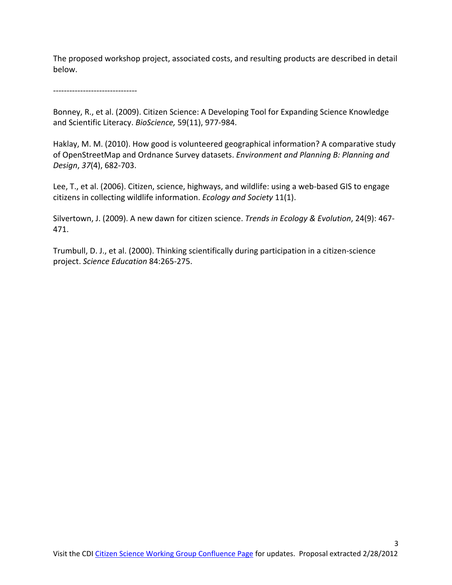The proposed workshop project, associated costs, and resulting products are described in detail below.

-------------------------------

Bonney, R., et al. (2009). [Citizen Science: A Developing Tool for Expanding Science Knowledge](http://www.bioone.org/doi/abs/10.1525/bio.2009.59.11.9)  [and Scientific Literacy.](http://www.bioone.org/doi/abs/10.1525/bio.2009.59.11.9) *BioScience,* 59(11), 977-984.

Haklay, M. M. (2010). [How good is volunteered geographical information? A comparative study](http://dx.doi.org/10.1068/b35097)  [of OpenStreetMap and Ordnance Survey datasets.](http://dx.doi.org/10.1068/b35097) *Environment and Planning B: Planning and Design*, *37*(4), 682-703.

Lee, T., et al. (2006). [Citizen, science, highways, and wildlife: using a web-based GIS to engage](http://www.ecologyandsociety.org/vol11/iss1/art11/)  [citizens in collecting wildlife information.](http://www.ecologyandsociety.org/vol11/iss1/art11/) *Ecology and Society* 11(1).

Silvertown, J. (2009). [A new dawn for citizen science.](http://www.cell.com/trends/ecology-evolution/abstract/S0169-5347%2809%2900175-X) *Trends in Ecology & Evolution*, 24(9): 467- 471.

Trumbull, D. J., et al. (2000)[. Thinking scientifically during participation in a citizen-science](http://onlinelibrary.wiley.com/doi/10.1002/%28SICI%291098-237X%28200003%2984:2%3C265::AID-SCE7%3E3.0.CO;2-5/abstract)  [project.](http://onlinelibrary.wiley.com/doi/10.1002/%28SICI%291098-237X%28200003%2984:2%3C265::AID-SCE7%3E3.0.CO;2-5/abstract) *Science Education* 84:265-275.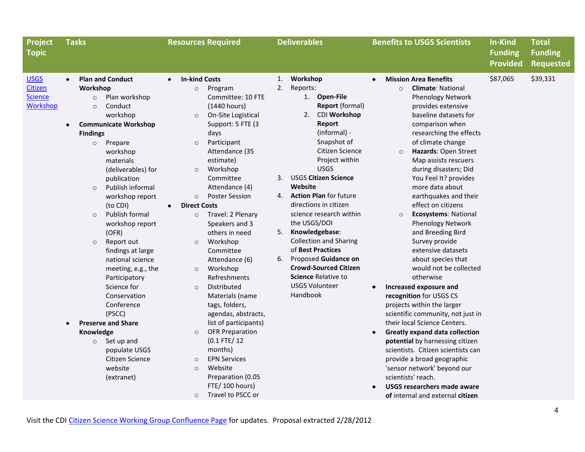| <b>Project</b><br>Topic                                     | <b>Tasks</b>                                                                                                                                                                                                                                                                                                                                                                                                                                                                                                                                                                                                                                                               | <b>Resources Required</b>                                                                                                                                                                                                                                                                                                                                                                                                                                                                                                                                                                                                                                                                                                                                                                                                | <b>Deliverables</b>                                                                                                                                                                                                                                                                                                                                                                                                                                                                                                                                                               | <b>Benefits to USGS Scientists</b>                                                                                                                                                                                                                                                                                                                                                                                                                                                                                                                                                                                                                                                                                                                                                                                                                                                                                                                                                                                                                          | <b>In-Kind</b><br><b>Funding</b><br><b>Provided</b> | <b>Total</b><br><b>Funding</b><br><b>Requested</b> |
|-------------------------------------------------------------|----------------------------------------------------------------------------------------------------------------------------------------------------------------------------------------------------------------------------------------------------------------------------------------------------------------------------------------------------------------------------------------------------------------------------------------------------------------------------------------------------------------------------------------------------------------------------------------------------------------------------------------------------------------------------|--------------------------------------------------------------------------------------------------------------------------------------------------------------------------------------------------------------------------------------------------------------------------------------------------------------------------------------------------------------------------------------------------------------------------------------------------------------------------------------------------------------------------------------------------------------------------------------------------------------------------------------------------------------------------------------------------------------------------------------------------------------------------------------------------------------------------|-----------------------------------------------------------------------------------------------------------------------------------------------------------------------------------------------------------------------------------------------------------------------------------------------------------------------------------------------------------------------------------------------------------------------------------------------------------------------------------------------------------------------------------------------------------------------------------|-------------------------------------------------------------------------------------------------------------------------------------------------------------------------------------------------------------------------------------------------------------------------------------------------------------------------------------------------------------------------------------------------------------------------------------------------------------------------------------------------------------------------------------------------------------------------------------------------------------------------------------------------------------------------------------------------------------------------------------------------------------------------------------------------------------------------------------------------------------------------------------------------------------------------------------------------------------------------------------------------------------------------------------------------------------|-----------------------------------------------------|----------------------------------------------------|
| <b>USGS</b><br><b>Citizen</b><br><b>Science</b><br>Workshop | <b>Plan and Conduct</b><br>$\bullet$<br>Workshop<br>Plan workshop<br>$\Omega$<br>Conduct<br>$\Omega$<br>workshop<br><b>Communicate Workshop</b><br><b>Findings</b><br>Prepare<br>$\circ$<br>workshop<br>materials<br>(deliverables) for<br>publication<br>Publish informal<br>$\circ$<br>workshop report<br>(to CDI)<br>Publish formal<br>$\circ$<br>workshop report<br>(OFR)<br>Report out<br>$\circ$<br>findings at large<br>national science<br>meeting, e.g., the<br>Participatory<br>Science for<br>Conservation<br>Conference<br>(PSCC)<br><b>Preserve and Share</b><br>Knowledge<br>$\circ$ Set up and<br>populate USGS<br>Citizen Science<br>website<br>(extranet) | <b>In-kind Costs</b><br>$\bullet$<br>Program<br>$\circ$<br>Committee: 10 FTE<br>(1440 hours)<br>On-Site Logistical<br>$\circ$<br>Support: 5 FTE (3<br>days<br>Participant<br>$\circ$<br>Attendance (35<br>estimate)<br>Workshop<br>$\circ$<br>Committee<br>Attendance (4)<br><b>Poster Session</b><br>$\circ$<br><b>Direct Costs</b><br>Travel: 2 Plenary<br>$\circ$<br>Speakers and 3<br>others in need<br>Workshop<br>$\circ$<br>Committee<br>Attendance (6)<br>Workshop<br>$\circ$<br>Refreshments<br>Distributed<br>$\circ$<br>Materials (name<br>tags, folders,<br>agendas, abstracts,<br>list of participants)<br><b>OFR Preparation</b><br>$\circ$<br>$(0.1$ FTE $/$ 12<br>months)<br><b>EPN Services</b><br>$\circ$<br>Website<br>$\circ$<br>Preparation (0.05<br>FTE/100 hours)<br>Travel to PSCC or<br>$\circ$ | Workshop<br>1.<br>2.<br>Reports:<br><b>Open-File</b><br>1.<br><b>Report (formal)</b><br>CDI Workshop<br>2.<br>Report<br>(informal) -<br>Snapshot of<br>Citizen Science<br>Project within<br><b>USGS</b><br><b>USGS Citizen Science</b><br>3.<br>Website<br><b>Action Plan</b> for future<br>4.<br>directions in citizen<br>science research within<br>the USGS/DOI<br>Knowledgebase:<br>5.<br><b>Collection and Sharing</b><br>of Best Practices<br>Proposed Guidance on<br>6.<br><b>Crowd-Sourced Citizen</b><br><b>Science Relative to</b><br><b>USGS Volunteer</b><br>Handbook | <b>Mission Area Benefits</b><br>$\bullet$<br><b>Climate: National</b><br>$\Omega$<br><b>Phenology Network</b><br>provides extensive<br>baseline datasets for<br>comparison when<br>researching the effects<br>of climate change<br>Hazards: Open Street<br>$\circ$<br>Map assists rescuers<br>during disasters; Did<br>You Feel It? provides<br>more data about<br>earthquakes and their<br>effect on citizens<br><b>Ecosystems: National</b><br>$\circ$<br>Phenology Network<br>and Breeding Bird<br>Survey provide<br>extensive datasets<br>about species that<br>would not be collected<br>otherwise<br>Increased exposure and<br>$\bullet$<br>recognition for USGS CS<br>projects within the larger<br>scientific community, not just in<br>their local Science Centers.<br><b>Greatly expand data collection</b><br>potential by harnessing citizen<br>scientists. Citizen scientists can<br>provide a broad geographic<br>'sensor network' beyond our<br>scientists' reach.<br><b>USGS researchers made aware</b><br>of internal and external citizen | \$87,065                                            | \$39,331                                           |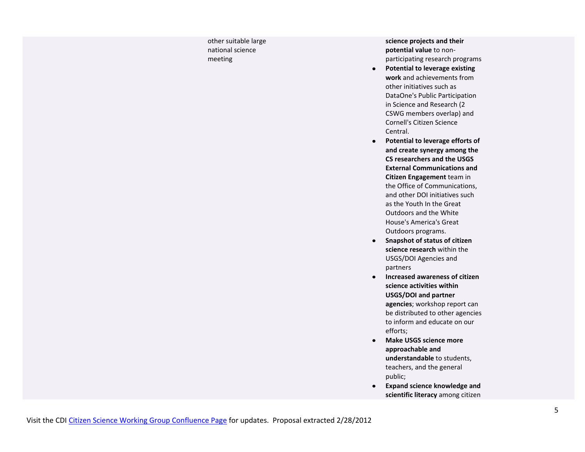other suitable large national science meeting

**science projects and their potential value** to nonparticipating research programs

- **Potential to leverage existing work** and achievements from other initiatives such as DataOne's Public Participation in Science and Research (2 CSWG members overlap) and Cornell's Citizen Science Central.
- **Potential to leverage efforts of and create synergy among the CS researchers and the USGS External Communications and Citizen Engagement** team in the Office of Communications, and other DOI initiatives such as the Youth In the Great Outdoors and the White House's America's Great Outdoors programs.
- $\bullet$ **Snapshot of status of citizen science research** within the USGS/DOI Agencies and partners
- **Increased awareness of citizen**   $\bullet$ **science activities within USGS/DOI and partner agencies**; workshop report can be distributed to other agencies to inform and educate on our efforts;
- **Make USGS science more**   $\bullet$ **approachable and understandable** to students, teachers, and the general public;
- **Expand science knowledge and**   $\bullet$ **scientific literacy** among citizen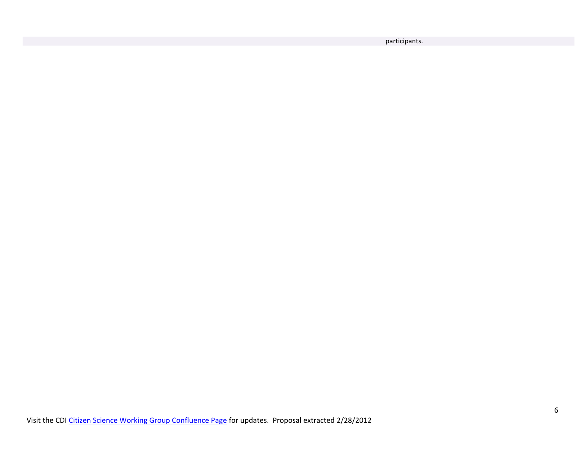participants.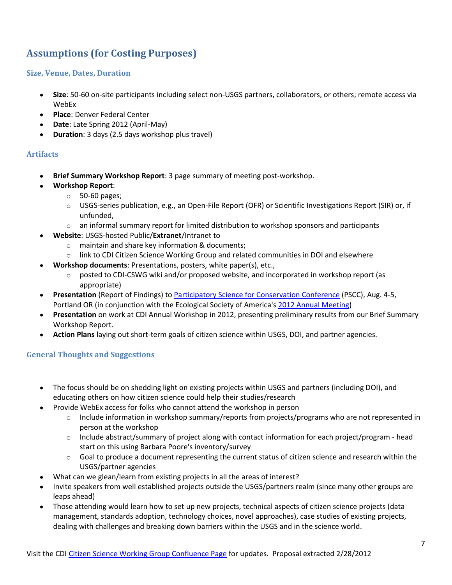# **Assumptions (for Costing Purposes)**

#### **Size, Venue, Dates, Duration**

- **Size**: 50-60 on-site participants including select non-USGS partners, collaborators, or others; remote access via WebEx
- **Place**: Denver Federal Center
- **Date**: Late Spring 2012 (April-May)
- **Duration**: 3 days (2.5 days workshop plus travel)

### **Artifacts**

- **Brief Summary Workshop Report**: 3 page summary of meeting post-workshop.
- **Workshop Report**:
	- o 50-60 pages;
	- o USGS-series publication, e.g., an Open-File Report (OFR) or Scientific Investigations Report (SIR) or, if unfunded,
	- $\circ$  an informal summary report for limited distribution to workshop sponsors and participants
- **Website**: USGS-hosted Public/**Extranet**/Intranet to
	- o maintain and share key information & documents;
	- $\circ$  link to CDI Citizen Science Working Group and related communities in DOI and elsewhere
	- **Workshop documents**: Presentations, posters, white paper(s), etc.,
		- o posted to CDI-CSWG wiki and/or proposed website, and incorporated in workshop report (as appropriate)
- **Presentation** (Report of Findings) to [Participatory Science for Conservation Conference](http://www.birds.cornell.edu/citscitoolkit/conference) (PSCC), Aug. 4-5,  $\bullet$ Portland OR (in conjunction with the Ecological Society of America's [2012 Annual Meeting\)](http://www.esa.org/portland/)
- **Presentation** on work at CDI Annual Workshop in 2012, presenting preliminary results from our Brief Summary Workshop Report.
- **Action Plans** laying out short-term goals of citizen science within USGS, DOI, and partner agencies.

# **General Thoughts and Suggestions**

- The focus should be on shedding light on existing projects within USGS and partners (including DOI), and educating others on how citizen science could help their studies/research
- Provide WebEx access for folks who cannot attend the workshop in person
	- $\circ$  Include information in workshop summary/reports from projects/programs who are not represented in person at the workshop
	- $\circ$  Include abstract/summary of project along with contact information for each project/program head start on this using Barbara Poore's inventory/survey
	- $\circ$  Goal to produce a document representing the current status of citizen science and research within the USGS/partner agencies
- What can we glean/learn from existing projects in all the areas of interest?
- Invite speakers from well established projects outside the USGS/partners realm (since many other groups are leaps ahead)
- Those attending would learn how to set up new projects, technical aspects of citizen science projects (data management, standards adoption, technology choices, novel approaches), case studies of existing projects, dealing with challenges and breaking down barriers within the USGS and in the science world.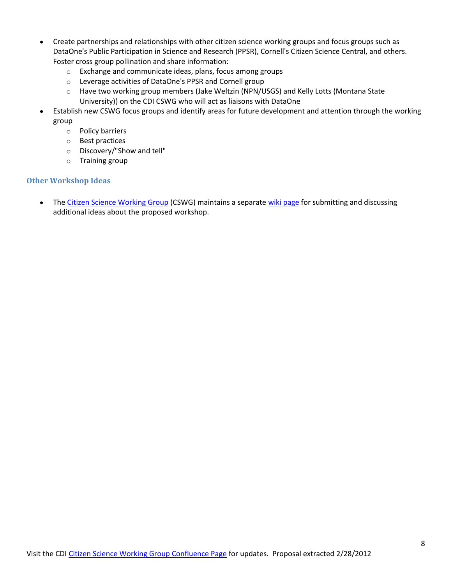- Create partnerships and relationships with other citizen science working groups and focus groups such as  $\bullet$ DataOne's Public Participation in Science and Research (PPSR), Cornell's Citizen Science Central, and others. Foster cross group pollination and share information:
	- o Exchange and communicate ideas, plans, focus among groups
	- o Leverage activities of DataOne's PPSR and Cornell group
	- $\circ$  Have two working group members (Jake Weltzin (NPN/USGS) and Kelly Lotts (Montana State University)) on the CDI CSWG who will act as liaisons with DataOne
- Establish new CSWG focus groups and identify areas for future development and attention through the working group
	- o Policy barriers
	- o Best practices
	- o Discovery/"Show and tell"
	- o Training group

### **Other Workshop Ideas**

 $\bullet$ The [Citizen Science Working Group](https://my.usgs.gov/confluence/display/cdi/Citizen+Science+Working+Group) (CSWG) maintains a separate [wiki page](https://my.usgs.gov/confluence/display/cdi/USGS+Citizen+Science+Workshop+Ideas) for submitting and discussing additional ideas about the proposed workshop.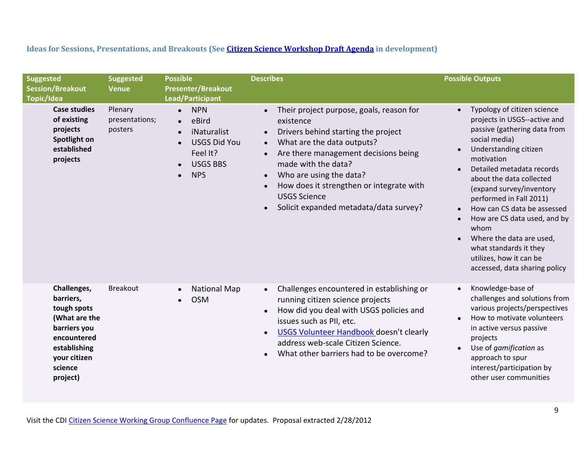**Ideas for Sessions, Presentations, and Breakouts (See [Citizen Science Workshop Draft Agenda](https://my.usgs.gov/confluence/display/cdi/Citizen+Science+Workshop+Draft+Agenda) in development)**

| <b>Suggested</b><br><b>Session/Breakout</b><br>Topic/Idea                                                                                      | <b>Suggested</b><br><b>Venue</b>     | <b>Possible</b><br><b>Presenter/Breakout</b><br>Lead/Participant                                                                                           | <b>Describes</b>                                                                                                                                                                                                                                                                                                                                                                      | <b>Possible Outputs</b>                                                                                                                                                                                                                                                                                                                                                                                                                                                                |
|------------------------------------------------------------------------------------------------------------------------------------------------|--------------------------------------|------------------------------------------------------------------------------------------------------------------------------------------------------------|---------------------------------------------------------------------------------------------------------------------------------------------------------------------------------------------------------------------------------------------------------------------------------------------------------------------------------------------------------------------------------------|----------------------------------------------------------------------------------------------------------------------------------------------------------------------------------------------------------------------------------------------------------------------------------------------------------------------------------------------------------------------------------------------------------------------------------------------------------------------------------------|
| <b>Case studies</b><br>of existing<br>projects<br>Spotlight on<br>established<br>projects                                                      | Plenary<br>presentations;<br>posters | <b>NPN</b><br>$\bullet$<br>eBird<br>$\bullet$<br>iNaturalist<br>$\bullet$<br><b>USGS Did You</b><br>$\bullet$<br>Feel It?<br><b>USGS BBS</b><br><b>NPS</b> | Their project purpose, goals, reason for<br>$\bullet$<br>existence<br>Drivers behind starting the project<br>What are the data outputs?<br>$\bullet$<br>Are there management decisions being<br>$\bullet$<br>made with the data?<br>Who are using the data?<br>$\bullet$<br>How does it strengthen or integrate with<br><b>USGS Science</b><br>Solicit expanded metadata/data survey? | Typology of citizen science<br>$\bullet$<br>projects in USGS--active and<br>passive (gathering data from<br>social media)<br>Understanding citizen<br>motivation<br>Detailed metadata records<br>about the data collected<br>(expand survey/inventory<br>performed in Fall 2011)<br>How can CS data be assessed<br>How are CS data used, and by<br>$\bullet$<br>whom<br>Where the data are used,<br>what standards it they<br>utilizes, how it can be<br>accessed, data sharing policy |
| Challenges,<br>barriers,<br>tough spots<br>(What are the<br>barriers you<br>encountered<br>establishing<br>your citizen<br>science<br>project) | <b>Breakout</b>                      | <b>National Map</b><br>$\bullet$<br><b>OSM</b><br>$\bullet$                                                                                                | Challenges encountered in establishing or<br>running citizen science projects<br>How did you deal with USGS policies and<br>issues such as PII, etc.<br><b>USGS Volunteer Handbook doesn't clearly</b><br>address web-scale Citizen Science.<br>What other barriers had to be overcome?                                                                                               | Knowledge-base of<br>$\bullet$<br>challenges and solutions from<br>various projects/perspectives<br>How to motivate volunteers<br>in active versus passive<br>projects<br>Use of gamification as<br>approach to spur<br>interest/participation by<br>other user communities                                                                                                                                                                                                            |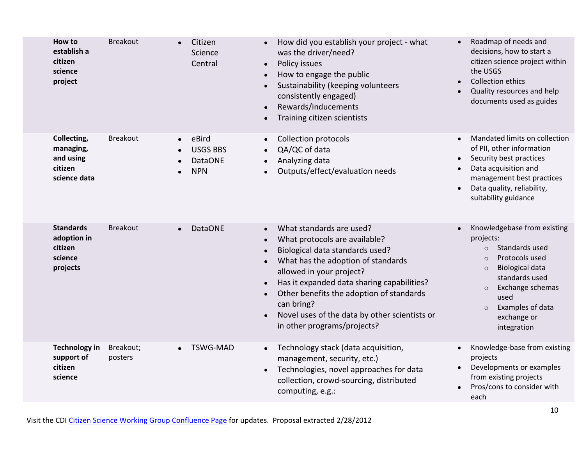| How to<br>establish a<br>citizen<br>science<br>project            | <b>Breakout</b>      | Citizen<br>Science<br>Central                                                      | How did you establish your project - what<br>$\bullet$<br>was the driver/need?<br>Policy issues<br>$\bullet$<br>How to engage the public<br>$\bullet$<br>Sustainability (keeping volunteers<br>$\bullet$<br>consistently engaged)<br>Rewards/inducements<br>$\bullet$<br>Training citizen scientists                                                                                                                                 | Roadmap of needs and<br>decisions, how to start a<br>citizen science project within<br>the USGS<br><b>Collection ethics</b><br>Quality resources and help<br>documents used as guides                                                                          |
|-------------------------------------------------------------------|----------------------|------------------------------------------------------------------------------------|--------------------------------------------------------------------------------------------------------------------------------------------------------------------------------------------------------------------------------------------------------------------------------------------------------------------------------------------------------------------------------------------------------------------------------------|----------------------------------------------------------------------------------------------------------------------------------------------------------------------------------------------------------------------------------------------------------------|
| Collecting,<br>managing,<br>and using<br>citizen<br>science data  | <b>Breakout</b>      | eBird<br>$\bullet$<br><b>USGS BBS</b><br><b>DataONE</b><br>$\bullet$<br><b>NPN</b> | <b>Collection protocols</b><br>$\bullet$<br>QA/QC of data<br>$\bullet$<br>Analyzing data<br>$\bullet$<br>Outputs/effect/evaluation needs                                                                                                                                                                                                                                                                                             | Mandated limits on collection<br>$\bullet$<br>of PII, other information<br>Security best practices<br>$\bullet$<br>Data acquisition and<br>management best practices<br>Data quality, reliability,<br>$\bullet$<br>suitability guidance                        |
| <b>Standards</b><br>adoption in<br>citizen<br>science<br>projects | <b>Breakout</b>      | <b>DataONE</b>                                                                     | What standards are used?<br>$\bullet$<br>What protocols are available?<br>$\bullet$<br>Biological data standards used?<br>$\bullet$<br>What has the adoption of standards<br>$\bullet$<br>allowed in your project?<br>Has it expanded data sharing capabilities?<br>$\bullet$<br>Other benefits the adoption of standards<br>$\bullet$<br>can bring?<br>Novel uses of the data by other scientists or<br>in other programs/projects? | Knowledgebase from existing<br>projects:<br>Standards used<br>$\circ$<br>Protocols used<br>$\Omega$<br><b>Biological data</b><br>$\circ$<br>standards used<br>Exchange schemas<br>$\circ$<br>used<br>Examples of data<br>$\circ$<br>exchange or<br>integration |
| <b>Technology in</b><br>support of<br>citizen<br>science          | Breakout;<br>posters | <b>TSWG-MAD</b><br>$\bullet$                                                       | Technology stack (data acquisition,<br>$\bullet$<br>management, security, etc.)<br>Technologies, novel approaches for data<br>$\bullet$<br>collection, crowd-sourcing, distributed<br>computing, e.g.:                                                                                                                                                                                                                               | Knowledge-base from existing<br>projects<br>Developments or examples<br>from existing projects<br>Pros/cons to consider with<br>each                                                                                                                           |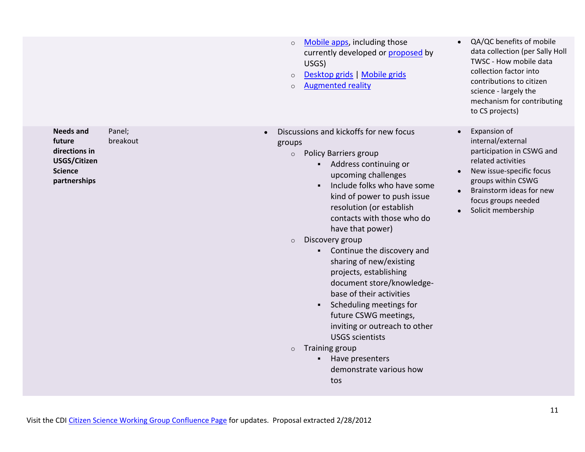| $\circ$ | Mobile apps, including those       |
|---------|------------------------------------|
|         | currently developed or proposed by |
|         | USGS)                              |

- o [Desktop grids](http://www.isgtw.org/feature/desktop-grids-connecting-everyone-science) | [Mobile grids](http://www.isgtw.org/feature/research-report-fare-share-mobile-grid-computing)
- o [Augmented reality](https://my.usgs.gov/confluence/display/cdi/Augmented+Reality+-+Visualizing+Biological+Species+Occurrences+Over+A+Real+Time+Display)
- Discussions and kickoffs for new focus  $\bullet$ groups
	- o Policy Barriers group
		- Address continuing or upcoming challenges
		- **Include folks who have some** kind of power to push issue resolution (or establish contacts with those who do have that power)
	- o Discovery group
		- **Continue the discovery and** sharing of new/existing projects, establishing document store/knowledgebase of their activities
		- **EXECUTE:** Scheduling meetings for future CSWG meetings, inviting or outreach to other USGS scientists
	- o Training group
		- **Have presenters** demonstrate various how tos
- QA/QC benefits of mobile  $\bullet$ data collection (per Sally Holl TWSC - How mobile data collection factor into contributions to citizen science - largely the mechanism for contributing to CS projects)
- Expansion of  $\bullet$ internal/external participation in CSWG and related activities
- New issue-specific focus  $\bullet$ groups within CSWG
- Brainstorm ideas for new focus groups needed
- Solicit membership

**Needs and future directions in USGS/Citizen Science partnerships** Panel; breakout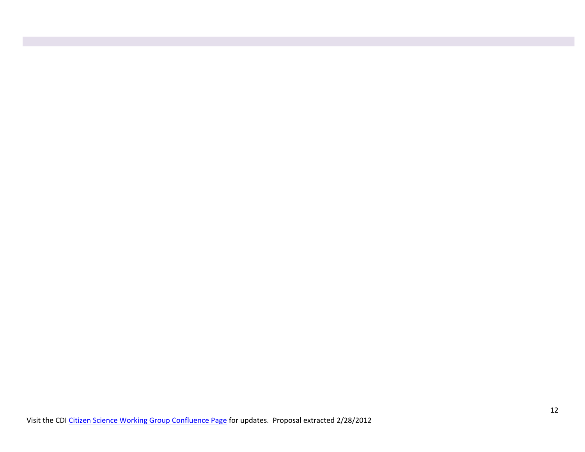Visit the CDI Citizen Science Working Group Confluence Page for updates. Proposal extracted 2/28/2012